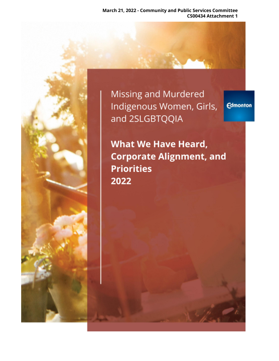**March 21, 2022 - Community and Public Services Committee CS00434 Attachment 1**

**Missing and Murdered** Indigenous Women, Girls, and 2SLGBTQQIA

**Edmonton** 

**What We Have Heard, Corporate Alignment, and Priorities** 2022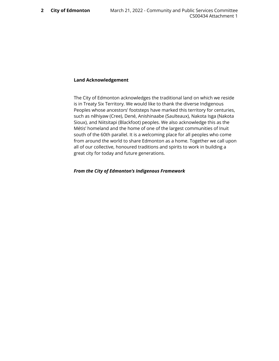#### **Land Acknowledgement**

The City of Edmonton acknowledges the traditional land on which we reside is in Treaty Six Territory. We would like to thank the diverse Indigenous Peoples whose ancestors' footsteps have marked this territory for centuries, such as nêhiyaw (Cree), Dené, Anishinaabe (Saulteaux), Nakota Isga (Nakota Sioux), and Niitsitapi (Blackfoot) peoples. We also acknowledge this as the Métis' homeland and the home of one of the largest communities of Inuit south of the 60th parallel. It is a welcoming place for all peoples who come from around the world to share Edmonton as a home. Together we call upon all of our collective, honoured traditions and spirits to work in building a great city for today and future generations.

#### *From the City of Edmonton's Indigenous Framework*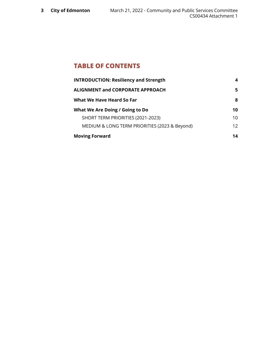# **TABLE OF CONTENTS**

| <b>INTRODUCTION: Resiliency and Strength</b>  | 4               |
|-----------------------------------------------|-----------------|
| <b>ALIGNMENT and CORPORATE APPROACH</b>       | 5.              |
| What We Have Heard So Far                     | 8               |
| What We Are Doing / Going to Do               | 10              |
| SHORT TERM PRIORITIES (2021-2023)             | 10              |
| MEDIUM & LONG TERM PRIORITIES (2023 & Beyond) | 12 <sup>2</sup> |
| <b>Moving Forward</b>                         | 14              |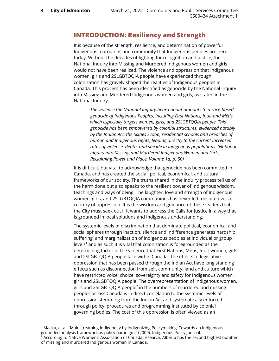# <span id="page-3-0"></span>**INTRODUCTION: Resiliency and Strength**

It is because of the strength, resilience, and determination of powerful Indigenous matriarchs and community that Indigenous peoples are here today. Without the decades of fighting for recognition and justice, the National Inquiry into Missing and Murdered Indigenous women and girls would not have been realized. The violence and oppression that Indigenous women, girls and 2SLGBTQQIA people have experienced through colonization has gravely shaped the realities of Indigenous peoples in Canada. This process has been identified as genocide by the National Inquiry into Missing and Murdered Indigenous women and girls, as stated in the National Inquiry:

> *The violence the National Inquiry heard about amounts to a race-based genocide of Indigenous Peoples, including First Nations, Inuit and Métis, which especially targets women, girls, and 2SLGBTQQIA people. This genocide has been empowered by colonial structures, evidenced notably by the Indian Act, the Sixties Scoop, residential schools and breaches of human and Indigenous rights, leading directly to the current increased rates of violence, death, and suicide in Indigenous populations. (National Inquiry into Missing and Murdered Indigenous Women and Girls, Reclaiming Power and Place, Volume 1a, p. 50)*

It is difficult, but vital to acknowledge that genocide has been committed in Canada, and has created the social, politcal, economical, and cultural frameworks of our society. The truths shared in the Inquiry process tell us of the harm done but also speaks to the resilient power of Indigenous wisdom, teachings and ways of being. The laughter, love and strength of Indigenous women, girls, and 2SLGBTQQIA communities has never left, despite over a century of oppression. It is the wisdom and guidance of these leaders that the City must seek out if it wants to address the Calls for Justice in a way that is grounded in local solutions and Indigenous understanding.

The systemic levels of discrimination that dominate political, economical and social spheres through inaction, silence and indifference generates hardship, suffering, and marginalization of Indigenous peoples at individual or group levels $1$  and as such it is vital that colonization is foregrounded as the determining factor of the violence that First Nations, Métis, Inuit women, girls and 2SLGBTQQIA people face within Canada. The effects of legislative oppression that has been passed through the Indian Act have long standing effects such as disconnection from self, community, land and culture which have restricted voice, choice, sovereignty and safety for Indigenous women, girls and 2SLGBTQQIA people. The overrepresentation of Indigenous women, girls and 2SLGBTQQIA people $^2$  in the numbers of murdered and missing peoples across Canada is in direct correlation to the systemic levels of oppression stemming from the Indian Act and systematically enforced through policy, procedures and programming instituted by colonial governing bodies. The cost of this oppression is often viewed as an

of missing and murdered Indigenous women in Canada.

 $^2$  According to Native Women's Association of Canada research, Alberta has the second highest number <sup>1</sup> Maaka, et al, "Mainstreaming Indigeneity by Indigenizing Policymaking: Towards an Indigenous grounded analysis framework as policy paradigm," (2009). Indigenous Policy Journal.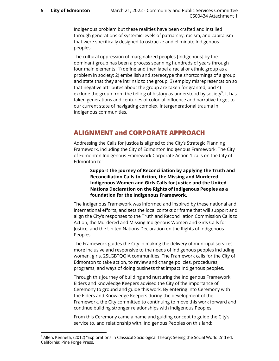Indigenous problem but these realities have been crafted and instilled through generations of systemic levels of patriarchy, racism, and capitalism that were specifically designed to ostracize and eliminate Indigenous peoples.

The cultural oppression of marginalized peoples [Indigenous] by the dominant group has been a process spanning hundreds of years through four main elements: 1) define and then label a racial or ethnic group as a problem in society; 2) embellish and stereotype the shortcomings of a group and state that they are intrinsic to the group; 3) employ misrepresentation so that negative attributes about the group are taken for granted; and 4) exclude the group from the telling of history as understood by society<sup>3</sup>. It has taken generations and centuries of colonial influence and narrative to get to our current state of navigating complex, intergenerational trauma in Indigenous communities.

# <span id="page-4-0"></span>**ALIGNMENT and CORPORATE APPROACH**

Addressing the Calls for Justice is aligned to the City's Strategic Planning Framework, including the City of Edmonton Indigenous Framework. The City of Edmonton Indigenous Framework Corporate Action 1 calls on the City of Edmonton to:

> **Support the journey of Reconciliation by applying the Truth and Reconciliation Calls to Action, the Missing and Murdered Indigenous Women and Girls Calls for Justice and the United Nations Declaration on the Rights of Indigenous Peoples as a foundation for the Indigenous Framework.**

The Indigenous Framework was informed and inspired by these national and international efforts, and sets the local context or frame that will support and align the City's responses to the Truth and Reconciliation Commission Calls to Action, the Murdered and Missing Indigenous Women and Girls Calls for Justice, and the United Nations Declaration on the Rights of Indigenous Peoples.

The Framework guides the City in making the delivery of municipal services more inclusive and responsive to the needs of Indigenous peoples including women, girls, 2SLGBTQQIA communities. The Framework calls for the City of Edmonton to take action, to review and change policies, procedures, programs, and ways of doing business that impact Indigenous peoples.

Through this journey of building and nurturing the Indigenous Framework, Elders and Knowledge Keepers advised the City of the importance of Ceremony to ground and guide this work. By entering into Ceremony with the Elders and Knowledge Keepers during the development of the Framework, the City committed to continuing to move this work forward and continue building stronger relationships with Indigenous Peoples.

From this Ceremony came a name and guiding concept to guide the City's service to, and relationship with, Indigenous Peoples on this land:

<sup>&</sup>lt;sup>3</sup> Allen, Kenneth, (2012) "Explorations in Classical Sociological Theory: Seeing the Social World.2nd ed. California: Pine Forge Press.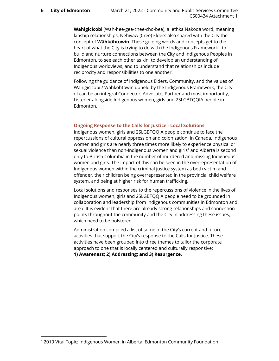**Wahigicicobi** (Wah-hee-gee-chee-cho-bee), a Iethka Nakoda word, meaning kinship relationships. Nehiyaw (Cree) Elders also shared with the City the concept of **Wâhkôhtowin**. These guiding words and concepts get to the heart of what the City is trying to do with the Indigenous Framework - to build and nurture connections between the City and Indigenous Peoples in Edmonton, to see each other as kin, to develop an understanding of Indigenous worldviews, and to understand that relationships include reciprocity and responsibilities to one another.

Following the guidance of Indigenous Elders, Community, and the values of Wahigicicobi / Wahkohtowin upheld by the Indigenous Framework, the City of can be an integral Connector, Advocate, Partner and most importantly, Listener alongside Indigenous women, girls and 2SLGBTQQIA people in Edmonton.

## **Ongoing Response to the Calls for Justice - Local Solutions**

Indigenous women, girls and 2SLGBTQQIA people continue to face the repercussions of cultural oppression and colonization. In Canada, Indigenous women and girls are nearly three times more likely to experience physical or sexual violence than non-Indigenous women and girls $4$  and Alberta is second only to British Columbia in the number of murdered and missing Indigneous women and girls. The impact of this can be seen in the overrepresentation of Indigenous women within the criminal justice system as both victim and offender, their children being overrepresented in the provincial child welfare system, and being at higher risk for human trafficking.

Local solutions and responses to the repercussions of violence in the lives of Indigenous women, girls and 2SLGBTQQIA people need to be grounded in collaboration and leadership from Indigenous communities in Edmonton and area. It is evident that there are already strong relationships and connection points throughout the community and the City in addressing these issues, which need to be bolstered.

Administration compiled a list of some of the City's current and future activities that support the City's response to the Calls for Justice. These activities have been grouped into three themes to tailor the corporate approach to one that is locally centered and culturally responsive: **1) Awareness; 2) Addressing; and 3) Resurgence.**

<sup>4</sup> 2019 Vital Topic: Indigenous Women in Alberta, Edmonton Community Foundation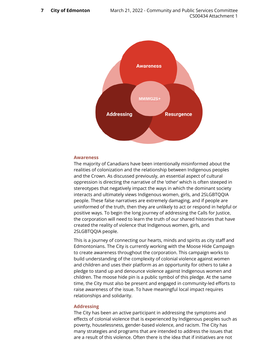

#### **Awareness**

The majority of Canadians have been intentionally misinformed about the realities of colonization and the relationship between Indigenous peoples and the Crown. As discussed previously, an essential aspect of cultural oppression is directing the narrative of the 'other' which is often steeped in stereotypes that negatively impact the ways in which the dominant society interacts and ultimately views Indigenous women, girls, and 2SLGBTQQIA people. These false narratives are extremely damaging, and if people are uninformed of the truth, then they are unlikely to act or respond in helpful or positive ways. To begin the long journey of addressing the Calls for Justice, the corporation will need to learn the truth of our shared histories that have created the reality of violence that Indigenous women, girls, and 2SLGBTQQIA people.

This is a journey of connecting our hearts, minds and spirits as city staff and Edmontonians. The City is currently working with the Moose Hide Campaign to create awareness throughout the corporation. This campaign works to build understanding of the complexity of colonial violence against women and children and uses their platform as an opportunity for others to take a pledge to stand up and denounce violence against Indigenous women and children. The moose hide pin is a public symbol of this pledge. At the same time, the City must also be present and engaged in community-led efforts to raise awareness of the issue. To have meaningful local impact requires relationships and solidarity.

#### **Addressing**

The City has been an active participant in addressing the symptoms and effects of colonial violence that is experienced by Indigenous peoples such as poverty, houselessness, gender-based violence, and racism. The City has many strategies and programs that are intended to address the issues that are a result of this violence. Often there is the idea that if initiatives are not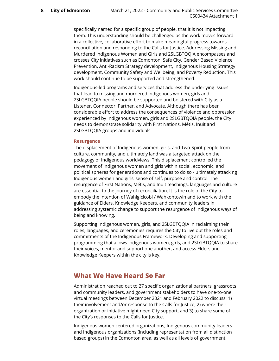specifically named for a specific group of people, that it is not impacting them. This understanding should be challenged as the work moves forward in a collective, collaborative effort to make meaningful progress towards reconciliation and responding to the Calls for Justice. Addressing Missing and Murdered Indigenous Women and Girls and 2SLGBTQQIA encompasses and crosses City initiatives such as Edmonton: Safe City, Gender Based Violence Prevention, Anti-Racism Strategy development, Indigenous Housing Strategy development, Community Safety and Wellbeing, and Poverty Reduction. This work should continue to be supported and strengthened.

Indigenous-led programs and services that address the underlying issues that lead to missing and murdered indigenous women, girls and 2SLGBTQQIA people should be supported and bolstered with City as a Listener, Connector, Partner, and Advocate. Although there has been considerable effort to address the consequences of violence and oppression experienced by Indigenous women, girls and 2SLGBTQQIA people, the City needs to demonstrate solidarity with First Nations, Métis, Inuit and 2SLGBTQQIA groups and individuals.

#### **Resurgence**

The displacement of Indigenous women, girls, and Two-Spirit people from culture, community, and ultimately land was a targeted attack on the pedagogy of Indigenous worldviews. This displacement controlled the movement of Indigenous women and girls within social, economic, and political spheres for generations and continues to do so - ultimately attacking Indigenous women and girls' sense of self, purpose and control. The resurgence of First Nations, Métis, and Inuit teachings, languages and culture are essential to the journey of reconciliation. It is the role of the City to embody the intention of Wahigicicobi / Wahkohtowin and to work with the guidance of Elders, Knowledge Keepers, and community leaders in addressing systemic change to support the resurgence of Indigenous ways of being and knowing.

Supporting Indigenous women, girls, and 2SLGBTQQIA in reclaiming their roles, languages, and ceremonies requires the City to live out the roles and commitments of the Indigenous Framework. Developing and supporting programming that allows Indigenous women, girls, and 2SLGBTQQIA to share their voices, mentor and support one another, and access Elders and Knowledge Keepers within the city is key.

# <span id="page-7-0"></span>**What We Have Heard So Far**

Administration reached out to 27 specific organizational partners, grassroots and community leaders, and government stakeholders to have one-to-one virtual meetings between December 2021 and February 2022 to discuss: 1) their involvement and/or response to the Calls for Justice, 2) where their organization or initiative might need City support, and 3) to share some of the City's responses to the Calls for Justice.

Indigenous women centered organizations, Indigenous community leaders and Indigenous organizations (including representation from all distinction based groups) in the Edmonton area, as well as all levels of government,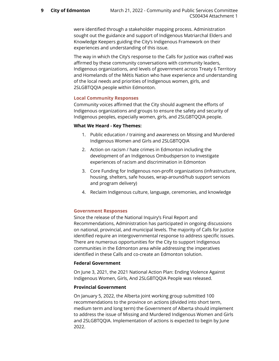were identified through a stakeholder mapping process. Administration sought out the guidance and support of Indigenous Matriarchal Elders and Knowledge Keepers guiding the City's Indigenous Framework on their experiences and understanding of this issue.

The way in which the City's response to the Calls for Justice was crafted was affirmed by these community conversations with community leaders, Indigenous organizations, and levels of government across Treaty 6 Territory and Homelands of the Métis Nation who have experience and understanding of the local needs and priorities of Indigenous women, girls, and 2SLGBTQQIA people within Edmonton.

## **Local Community Responses**

Community voices affirmed that the City should augment the efforts of Indigenous organizations and groups to ensure the safety and security of Indigenous peoples, especially women, girls, and 2SLGBTQQIA people.

#### **What We Heard - Key Themes:**

- 1. Public education / training and awareness on Missing and Murdered Indigenous Women and Girls and 2SLGBTQQIA
- 2. Action on racism / hate crimes in Edmonton including the development of an Indigenous Ombudsperson to investigate experiences of racism and discrimination in Edmonton
- 3. Core Funding for Indigenous non-profit organizations (infrastructure, housing, shelters, safe houses, wrap-around/hub support services and program delivery)
- 4. Reclaim Indigenous culture, language, ceremonies, and knowledge

## **Government Responses**

Since the release of the National Inquiry's Final Report and Recommendations, Administration has participated in ongoing discussions on national, provincial, and municipal levels. The majority of Calls for Justice identified require an intergovernmental response to address specific issues. There are numerous opportunities for the City to support Indigenous communities in the Edmonton area while addressing the imperatives identified in these Calls and co-create an Edmonton solution.

#### **Federal Government**

On June 3, 2021, the 2021 National Action Plan: Ending Violence Against Indigenous Women, Girls, And 2SLGBTQQIA People was released.

## **Provincial Government**

On January 5, 2022, the Alberta joint working group submitted 100 recommendations to the province on actions (divided into short term, medium term and long term) the Government of Alberta should implement to address the issue of Missing and Murdered Indigenous Women and Girls and 2SLGBTQQIA. Implementation of actions is expected to begin by June 2022.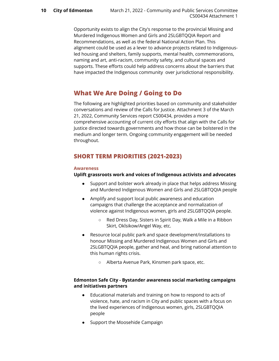Opportunity exists to align the City's response to the provincial Missing and Murdered Indigenous Women and Girls and 2SLGBTQQIA Report and Recommendations, as well as the federal National Action Plan. This alignment could be used as a lever to advance projects related to Indigenousled housing and shelters, family supports, mental health, commemorations, naming and art, anti-racism, community safety, and cultural spaces and supports. These efforts could help address concerns about the barriers that have impacted the Indigenous community over jurisdictional responsibility.

# <span id="page-9-0"></span>**What We Are Doing / Going to Do**

The following are highlighted priorities based on community and stakeholder conversations and review of the Calls for Justice. Attachment 3 of the March 21, 2022, Community Services report CS00434, provides a more comprehensive accounting of current city efforts that align with the Calls for Justice directed towards governments and how those can be bolstered in the medium and longer term. Ongoing community engagement will be needed throughout.

# <span id="page-9-1"></span>**SHORT TERM PRIORITIES (2021-2023)**

## **Awareness**

## **Uplift grassroots work and voices of Indigenous activists and advocates**

- Support and bolster work already in place that helps address Missing and Murdered Indigenous Women and Girls and 2SLGBTQQIA people
- Amplify and support local public awareness and education campaigns that challenge the acceptance and normalization of violence against Indigenous women, girls and 2SLGBTQQIA people.
	- Red Dress Day, Sisters in Spirit Day, Walk a Mile in a Ribbon Skirt, Okîsikow/Angel Way, etc.
- Resource local public park and space development/installations to honour Missing and Murdered Indigenous Women and Girls and 2SLGBTQQIA people, gather and heal, and bring national attention to this human rights crisis.
	- Alberta Avenue Park, Kinsmen park space, etc.

## **Edmonton Safe City - Bystander awareness social marketing campaigns and initiatives partners**

- Educational materials and training on how to respond to acts of violence, hate, and racism in City and public spaces with a focus on the lived experiences of Indigenous women, girls, 2SLGBTQQIA people
- Support the Moosehide Campaign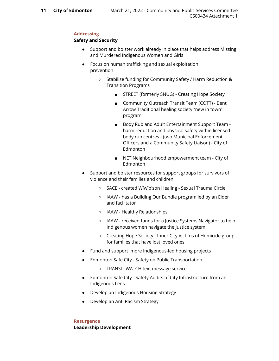#### **Addressing**

## **Safety and Security**

- Support and bolster work already in place that helps address Missing and Murdered Indigenous Women and Girls
- Focus on human trafficking and sexual exploitation prevention
	- Stabilize funding for Community Safety / Harm Reduction & Transition Programs
		- STREET (formerly SNUG) Creating Hope Society
		- Community Outreach Transit Team (COTT) Bent Arrow Traditional healing society "new in town" program
		- Body Rub and Adult Entertainment Support Team harm reduction and physical safety within licensed body rub centres - (two Municipal Enforcement Officers and a Community Safety Liaison) - City of Edmonton
		- NET Neighbourhood empowerment team City of Edmonton
- Support and bolster resources for support groups for survivors of violence and their families and children
	- SACE created Wîwîp'son Healing Sexual Trauma Circle
	- IAAW has a Building Our Bundle program led by an Elder and facilitator
	- IAAW Healthy Relationships
	- IAAW received funds for a Justice Systems Navigator to help Indigenous women navigate the justice system.
	- Creating Hope Society Inner City Victims of Homicide group for families that have lost loved ones
- Fund and support more Indigenous-led housing projects
- Edmonton Safe City Safety on Public Transportation
	- TRANSIT WATCH text message service
- Edmonton Safe City Safety Audits of City Infrastructure from an Indigenous Lens
- Develop an Indigenous Housing Strategy
- Develop an Anti Racism Strategy

**Resurgence Leadership Development**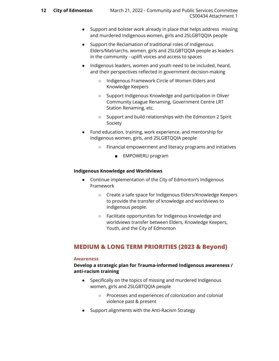- Support and bolster work already in place that helps address missing and murdered Indigenous women, girls and 2SLGBTQQIA people
- Support the Reclamation of traditional roles of Indigenous Elders/Matriarchs, women, girls and 2SLGBTQQIA people as leaders in the community - uplift voices and access to spaces
- Indigenous leaders, women and youth need to be included, heard, and their perspectives reflected in government decision-making
	- Indigenous Framework Circle of Women Elders and Knowledge Keepers
	- Support Indigenous Knowledge and participation in Oliver Community League Renaming, Government Centre LRT Station Renaming, etc.
	- Support and build relationships with the Edmonton 2 Spirit Society
- Fund education, training, work experience, and mentorship for Indigenous women, girls, and 2SLGBTQQIA people
	- Financial empowerment and literacy programs and initiatives
		- EMPOWERU program

## **Indigenous Knowledge and Worldviews**

- Continue implementation of the City of Edmonton's Indigenous Framework
	- Create a safe space for Indigenous Elders/Knowledge Keepers to provide the transfer of knowledge and worldviews to Indigenous people.
	- Facilitate opportunities for Indigenous knowledge and worldviews transfer between Elders, Knowledge Keepers, Youth, and the City of Edmonton

## <span id="page-11-0"></span>**MEDIUM & LONG TERM PRIORITIES (2023 & Beyond)**

#### **Awareness**

## **Develop a strategic plan for Trauma-informed Indigenous awareness / anti-racism training**

- Specifically on the topics of missing and murdered Indigenous women, girls and 2SLGBTQQIA people
	- Processes and experiences of colonization and colonial violence past & present
- Support alignments with the Anti-Racism Strategy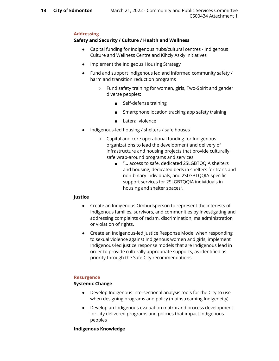## **Addressing**

## **Safety and Security / Culture / Health and Wellness**

- Capital funding for Indigenous hubs/cultural centres Indigenous Culture and Wellness Centre and Kihciy Askiy initiatives
- Implement the Indigeous Housing Strategy
- Fund and support Indigenous led and informed community safety / harm and transition reduction programs
	- Fund safety training for women, girls, Two-Spirit and gender diverse peoples:
		- Self-defense training
		- Smartphone location tracking app safety training
		- Lateral violence
- Indigenous-led housing / shelters / safe houses
	- Capital and core operational funding for Indigenous organizations to lead the development and delivery of infrastructure and housing projects that provide culturally safe wrap-around programs and services.
		- "... access to safe, dedicated 2SLGBTQQIA shelters and housing, dedicated beds in shelters for trans and non-binary individuals, and 2SLGBTQQIA-specific support services for 2SLGBTQQIA individuals in housing and shelter spaces".

## **Justice**

- Create an Indigenous Ombudsperson to represent the interests of Indigenous families, survivors, and communities by investigating and addressing complaints of racism, discrimination, maladministration or violation of rights.
- Create an Indigenous-led Justice Response Model when responding to sexual violence against Indigenous women and girls, implement Indigenous-led justice response models that are Indigenous lead in order to provide culturally appropriate supports, as identified as priority through the Safe City recommendations.

#### **Resurgence**

## **Systemic Change**

- Develop Indigenous intersectional analysis tools for the City to use when designing programs and policy (mainstreaming Indigeneity)
- Develop an Indigenous evaluation matrix and process development for city delivered programs and policies that impact Indigenous peoples

#### **Indigenous Knowledge**